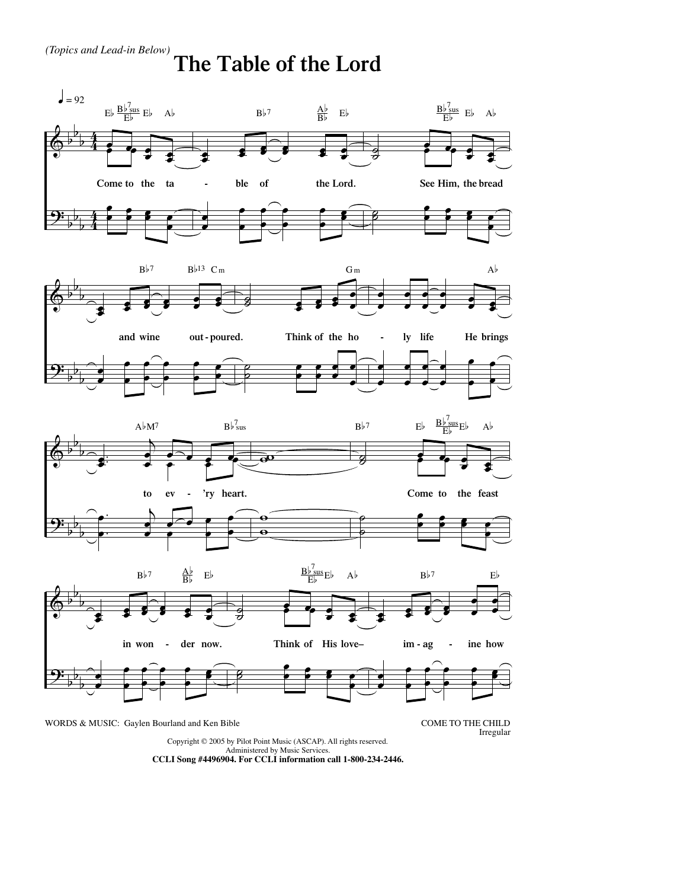## **The Table of the Lord**



Copyright © 2005 by Pilot Point Music (ASCAP). All rights reserved. Administered by Music Services.

**CCLI Song #4496904. For CCLI information call 1-800-234-2446.**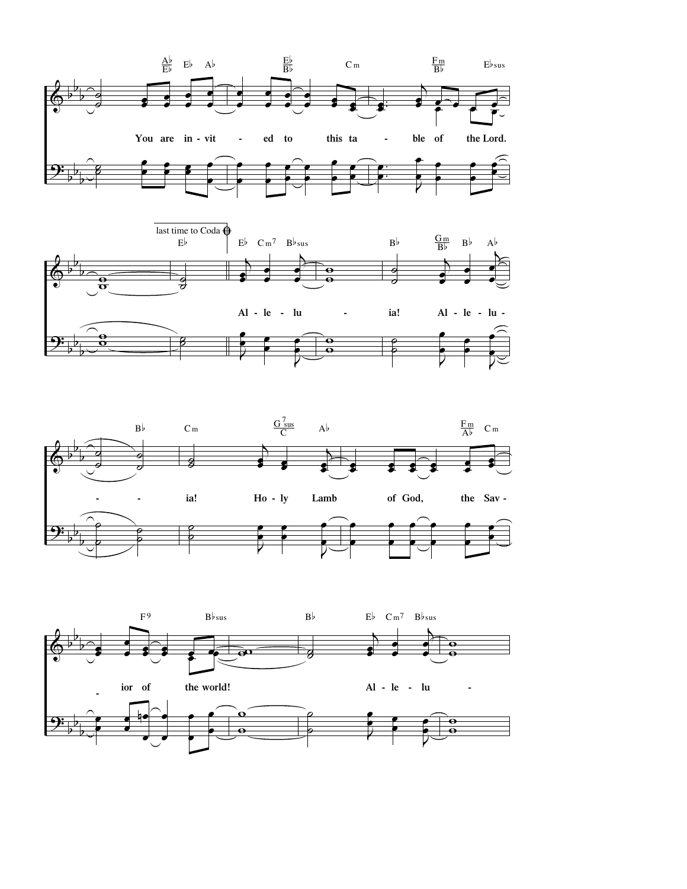





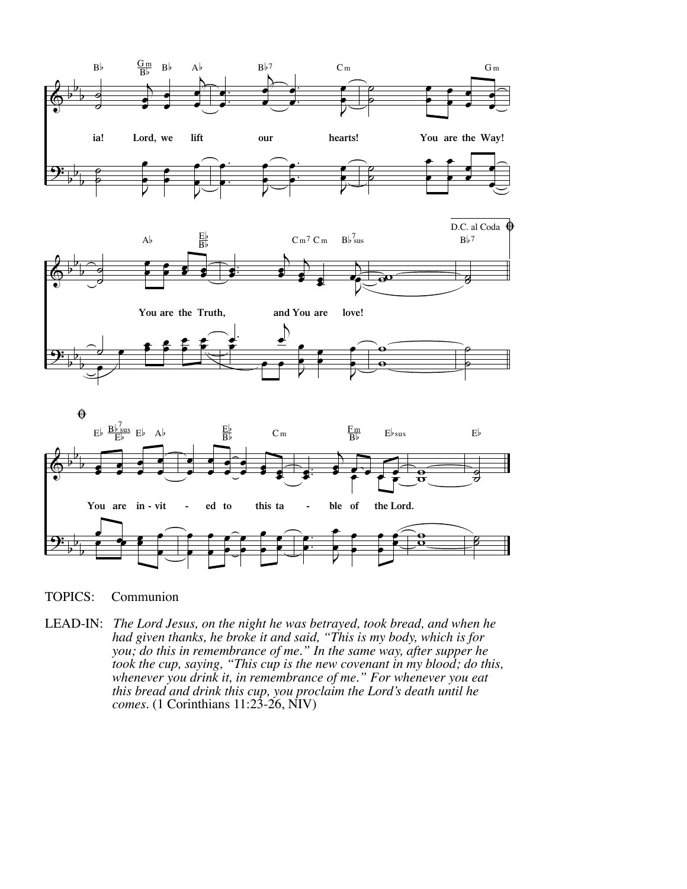





TOPICS: Communion

LEAD-IN: *The Lord Jesus, on the night he was betrayed, took bread, and when he had given thanks, he broke it and said, "This is my body, which is for you; do this in remembrance of me." In the same way, after supper he took the cup, saying, "This cup is the new covenant in my blood; do this, whenever you drink it, in remembrance of me." For whenever you eat this bread and drink this cup, you proclaim the Lord's death until he comes.* (1 Corinthians 11:23-26, NIV)